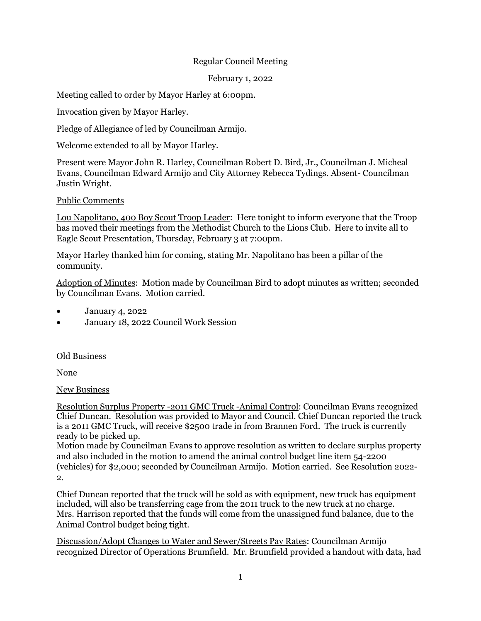## Regular Council Meeting

February 1, 2022

Meeting called to order by Mayor Harley at 6:00pm.

Invocation given by Mayor Harley.

Pledge of Allegiance of led by Councilman Armijo.

Welcome extended to all by Mayor Harley.

Present were Mayor John R. Harley, Councilman Robert D. Bird, Jr., Councilman J. Micheal Evans, Councilman Edward Armijo and City Attorney Rebecca Tydings. Absent- Councilman Justin Wright.

Public Comments

Lou Napolitano, 400 Boy Scout Troop Leader: Here tonight to inform everyone that the Troop has moved their meetings from the Methodist Church to the Lions Club. Here to invite all to Eagle Scout Presentation, Thursday, February 3 at 7:00pm.

Mayor Harley thanked him for coming, stating Mr. Napolitano has been a pillar of the community.

Adoption of Minutes: Motion made by Councilman Bird to adopt minutes as written; seconded by Councilman Evans. Motion carried.

- January 4, 2022
- January 18, 2022 Council Work Session

## Old Business

None

New Business

Resolution Surplus Property -2011 GMC Truck -Animal Control: Councilman Evans recognized Chief Duncan. Resolution was provided to Mayor and Council. Chief Duncan reported the truck is a 2011 GMC Truck, will receive \$2500 trade in from Brannen Ford. The truck is currently ready to be picked up.

Motion made by Councilman Evans to approve resolution as written to declare surplus property and also included in the motion to amend the animal control budget line item 54-2200 (vehicles) for \$2,000; seconded by Councilman Armijo. Motion carried. See Resolution 2022- 2.

Chief Duncan reported that the truck will be sold as with equipment, new truck has equipment included, will also be transferring cage from the 2011 truck to the new truck at no charge. Mrs. Harrison reported that the funds will come from the unassigned fund balance, due to the Animal Control budget being tight.

Discussion/Adopt Changes to Water and Sewer/Streets Pay Rates: Councilman Armijo recognized Director of Operations Brumfield. Mr. Brumfield provided a handout with data, had